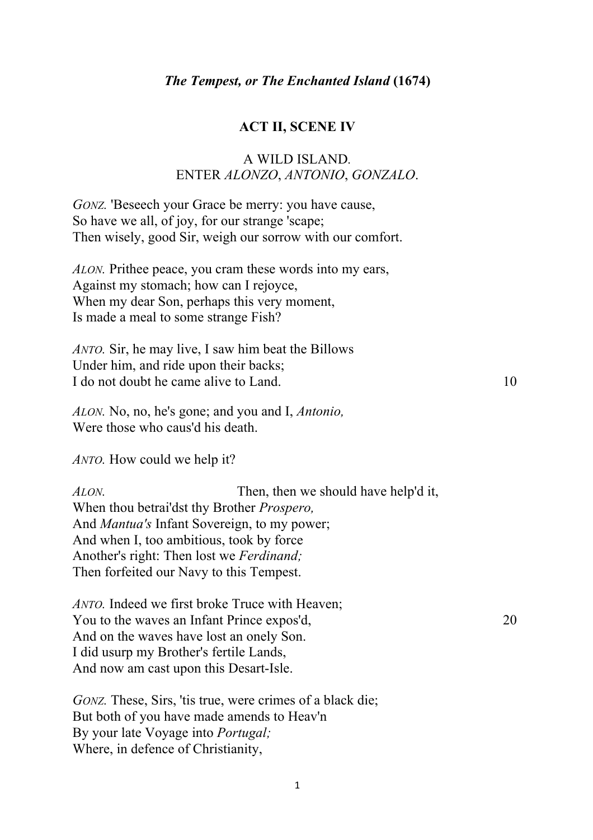#### **ACT II, SCENE IV**

## A WILD ISLAND*.* ENTER *ALONZO*, *ANTONIO*, *GONZALO*.

*GONZ*. 'Beseech your Grace be merry: you have cause, So have we all, of joy, for our strange 'scape; Then wisely, good Sir, weigh our sorrow with our comfort.

*ALON.* Prithee peace, you cram these words into my ears, Against my stomach; how can I rejoyce, When my dear Son, perhaps this very moment, Is made a meal to some strange Fish?

*ANTO.* Sir, he may live, I saw him beat the Billows Under him, and ride upon their backs; I do not doubt he came alive to Land. 10

*ALON.* No, no, he's gone; and you and I, *Antonio,* Were those who caus'd his death.

*ANTO.* How could we help it?

*ALON.* Then, then we should have help'd it, When thou betrai'dst thy Brother *Prospero,* And *Mantua's* Infant Sovereign, to my power; And when I, too ambitious, took by force Another's right: Then lost we *Ferdinand;* Then forfeited our Navy to this Tempest.

*ANTO.* Indeed we first broke Truce with Heaven; You to the waves an Infant Prince expos'd, 20 And on the waves have lost an onely Son. I did usurp my Brother's fertile Lands, And now am cast upon this Desart-Isle.

*GONZ.* These, Sirs, 'tis true, were crimes of a black die; But both of you have made amends to Heav'n By your late Voyage into *Portugal;* Where, in defence of Christianity,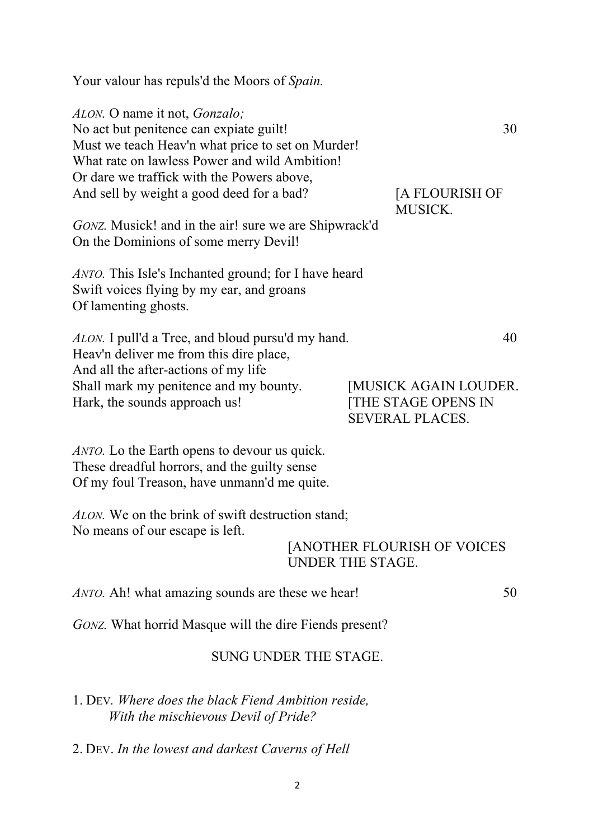| Your valour has repuls'd the Moors of Spain.                                                                                                                                                                                                                              |                              |                                                                                            |
|---------------------------------------------------------------------------------------------------------------------------------------------------------------------------------------------------------------------------------------------------------------------------|------------------------------|--------------------------------------------------------------------------------------------|
| ALON. O name it not, Gonzalo;<br>No act but penitence can expiate guilt!<br>Must we teach Heav'n what price to set on Murder!<br>What rate on lawless Power and wild Ambition!<br>Or dare we traffick with the Powers above,<br>And sell by weight a good deed for a bad? |                              | 30<br>[A FLOURISH OF<br><b>MUSICK.</b>                                                     |
| <i>GONZ</i> . Musick! and in the air! sure we are Shipwrack'd<br>On the Dominions of some merry Devil!                                                                                                                                                                    |                              |                                                                                            |
| <i>ANTO</i> . This Isle's Inchanted ground; for I have heard<br>Swift voices flying by my ear, and groans<br>Of lamenting ghosts.                                                                                                                                         |                              |                                                                                            |
| ALON. I pull'd a Tree, and bloud pursu'd my hand.<br>Heav'n deliver me from this dire place,<br>And all the after-actions of my life<br>Shall mark my penitence and my bounty.<br>Hark, the sounds approach us!                                                           |                              | 40<br><b>[MUSICK AGAIN LOUDER.</b><br><b>[THE STAGE OPENS IN</b><br><b>SEVERAL PLACES.</b> |
| <i>ANTO</i> . Lo the Earth opens to devour us quick.<br>These dreadful horrors, and the guilty sense<br>Of my foul Treason, have unmann'd me quite.                                                                                                                       |                              |                                                                                            |
| ALON. We on the brink of swift destruction stand;<br>No means of our escape is left.                                                                                                                                                                                      | <b>UNDER THE STAGE.</b>      | <b>[ANOTHER FLOURISH OF VOICES</b>                                                         |
| ANTO. Ah! what amazing sounds are these we hear!                                                                                                                                                                                                                          |                              | 50                                                                                         |
| <i>GONZ</i> . What horrid Masque will the dire Fiends present?                                                                                                                                                                                                            |                              |                                                                                            |
|                                                                                                                                                                                                                                                                           | <b>SUNG UNDER THE STAGE.</b> |                                                                                            |
| 1. DEV. Where does the black Fiend Ambition reside,                                                                                                                                                                                                                       |                              |                                                                                            |

*With the mischievous Devil of Pride?*

2. DEV. *In the lowest and darkest Caverns of Hell*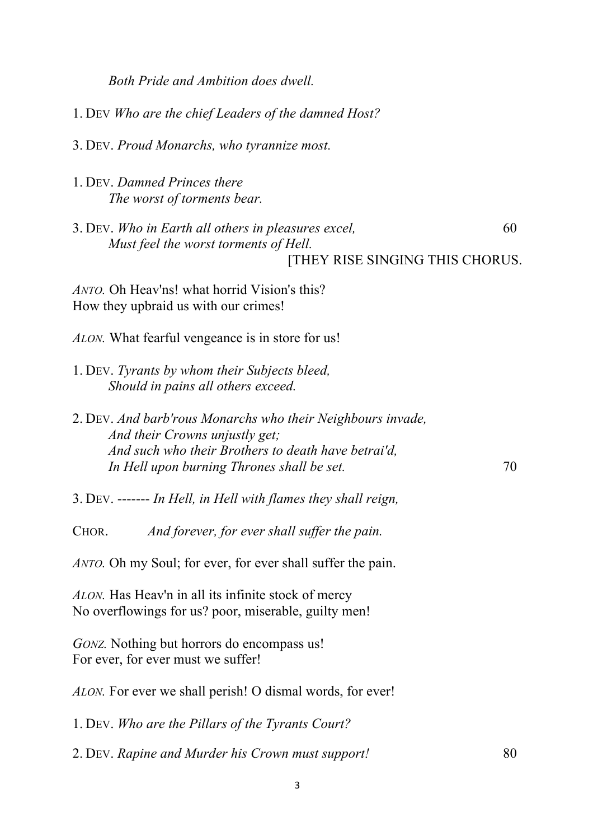*Both Pride and Ambition does dwell.* 1. DEV *Who are the chief Leaders of the damned Host?* 3. DEV. *Proud Monarchs, who tyrannize most.* 1. DEV. *Damned Princes there The worst of torments bear.* 3. DEV. *Who in Earth all others in pleasures excel,* 60 *Must feel the worst torments of Hell.* [THEY RISE SINGING THIS CHORUS. *ANTO.* Oh Heav'ns! what horrid Vision's this? How they upbraid us with our crimes! *ALON.* What fearful vengeance is in store for us! 1. DEV. *Tyrants by whom their Subjects bleed, Should in pains all others exceed.* 2. DEV. *And barb'rous Monarchs who their Neighbours invade, And their Crowns unjustly get; And such who their Brothers to death have betrai'd, In Hell upon burning Thrones shall be set.*  $70$ 3. DEV. ------- *In Hell, in Hell with flames they shall reign,* CHOR. *And forever, for ever shall suffer the pain. ANTO.* Oh my Soul; for ever, for ever shall suffer the pain. *ALON.* Has Heav'n in all its infinite stock of mercy No overflowings for us? poor, miserable, guilty men! *GONZ*. Nothing but horrors do encompass us! For ever, for ever must we suffer! *ALON.* For ever we shall perish! O dismal words, for ever! 1. DEV. *Who are the Pillars of the Tyrants Court?* 2. DEV. *Rapine and Murder his Crown must support!* 80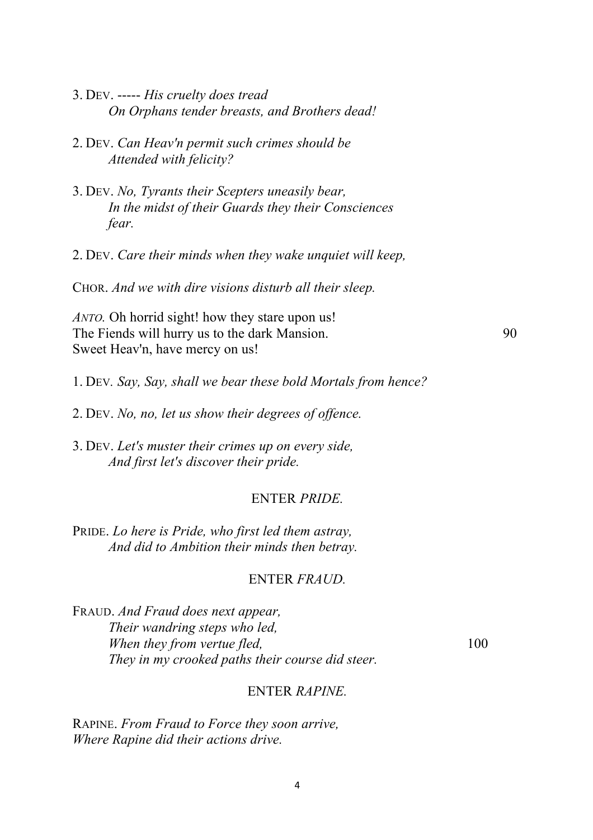| 3. DEV. ----- His cruelty does tread                                                                                                                   |     |    |
|--------------------------------------------------------------------------------------------------------------------------------------------------------|-----|----|
| On Orphans tender breasts, and Brothers dead!                                                                                                          |     |    |
| 2. DEV. Can Heav'n permit such crimes should be<br>Attended with felicity?                                                                             |     |    |
| 3. DEV. No, Tyrants their Scepters uneasily bear,<br>In the midst of their Guards they their Consciences<br>fear.                                      |     |    |
| 2. DEV. Care their minds when they wake unquiet will keep,                                                                                             |     |    |
| CHOR. And we with dire visions disturb all their sleep.                                                                                                |     |    |
| ANTO. Oh horrid sight! how they stare upon us!<br>The Fiends will hurry us to the dark Mansion.<br>Sweet Heav'n, have mercy on us!                     |     | 90 |
| 1. DEV. Say, Say, shall we bear these bold Mortals from hence?                                                                                         |     |    |
| 2. DEV. No, no, let us show their degrees of offence.                                                                                                  |     |    |
| 3. DEV. Let's muster their crimes up on every side,<br>And first let's discover their pride.                                                           |     |    |
| <b>ENTER PRIDE.</b>                                                                                                                                    |     |    |
| PRIDE. Lo here is Pride, who first led them astray,<br>And did to Ambition their minds then betray.                                                    |     |    |
| ENTER FRAUD.                                                                                                                                           |     |    |
| FRAUD. And Fraud does next appear,<br>Their wandring steps who led,<br>When they from vertue fled,<br>They in my crooked paths their course did steer. | 100 |    |

# ENTER *RAPINE.*

RAPINE. *From Fraud to Force they soon arrive, Where Rapine did their actions drive.*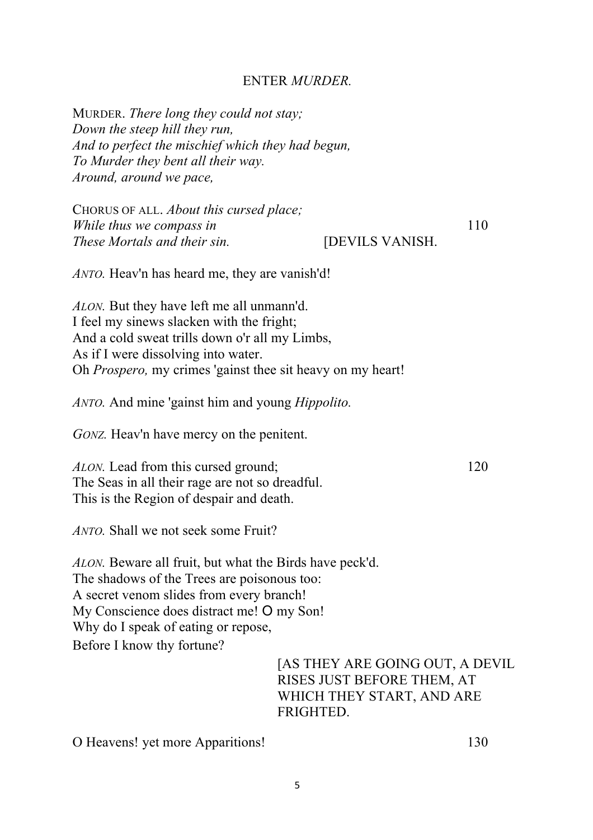### ENTER *MURDER.*

MURDER. *There long they could not stay; Down the steep hill they run, And to perfect the mischief which they had begun, To Murder they bent all their way. Around, around we pace,* CHORUS OF ALL. *About this cursed place; While thus we compass in* 110 *These Mortals and their sin.* [DEVILS VANISH. *ANTO.* Heav'n has heard me, they are vanish'd! *ALON.* But they have left me all unmann'd. I feel my sinews slacken with the fright; And a cold sweat trills down o'r all my Limbs, As if I were dissolving into water. Oh *Prospero,* my crimes 'gainst thee sit heavy on my heart! *ANTO.* And mine 'gainst him and young *Hippolito. GONZ.* Heav'n have mercy on the penitent. *ALON.* Lead from this cursed ground; 120 The Seas in all their rage are not so dreadful. This is the Region of despair and death. *ANTO.* Shall we not seek some Fruit? *ALON.* Beware all fruit, but what the Birds have peck'd. The shadows of the Trees are poisonous too: A secret venom slides from every branch! My Conscience does distract me! O my Son! Why do I speak of eating or repose, Before I know thy fortune? [AS THEY ARE GOING OUT, A DEVIL RISES JUST BEFORE THEM, AT WHICH THEY START, AND ARE **FRIGHTED** 

O Heavens! yet more Apparitions! 130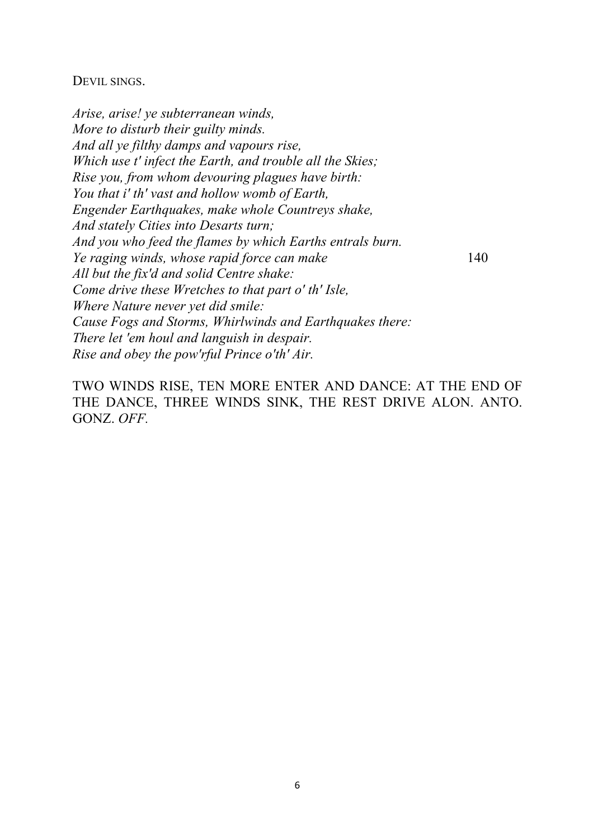#### DEVIL SINGS.

*Arise, arise! ye subterranean winds, More to disturb their guilty minds. And all ye filthy damps and vapours rise, Which use t' infect the Earth, and trouble all the Skies; Rise you, from whom devouring plagues have birth: You that i' th' vast and hollow womb of Earth, Engender Earthquakes, make whole Countreys shake, And stately Cities into Desarts turn; And you who feed the flames by which Earths entrals burn. Ye raging winds, whose rapid force can make* 140 *All but the fix'd and solid Centre shake: Come drive these Wretches to that part o' th' Isle, Where Nature never yet did smile: Cause Fogs and Storms, Whirlwinds and Earthquakes there: There let 'em houl and languish in despair. Rise and obey the pow'rful Prince o'th' Air.*

TWO WINDS RISE, TEN MORE ENTER AND DANCE: AT THE END OF THE DANCE, THREE WINDS SINK, THE REST DRIVE ALON. ANTO. GONZ. *OFF.*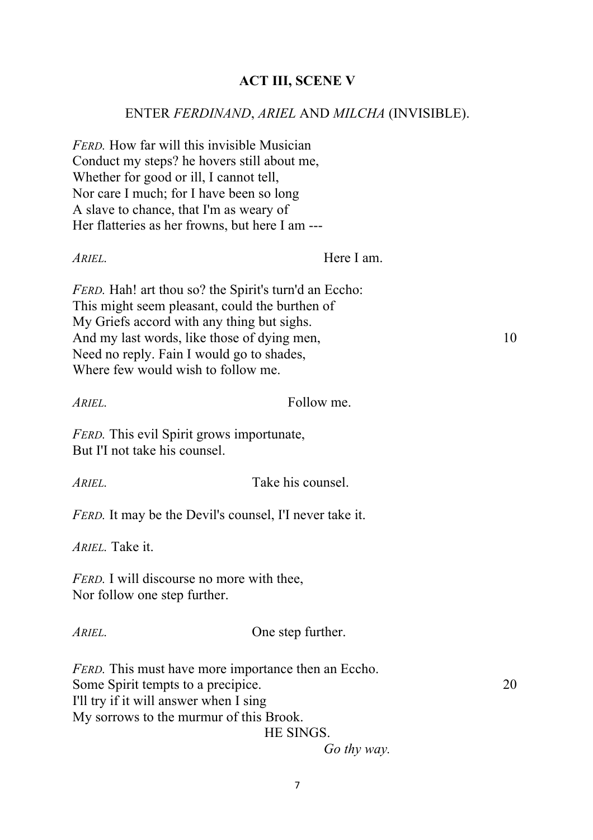# **ACT III, SCENE V**

## ENTER *FERDINAND*, *ARIEL* AND *MILCHA* (INVISIBLE).

*FERD.* How far will this invisible Musician Conduct my steps? he hovers still about me, Whether for good or ill, I cannot tell, Nor care I much; for I have been so long A slave to chance, that I'm as weary of Her flatteries as her frowns, but here I am --- *ARIEL.* Here I am. *FERD.* Hah! art thou so? the Spirit's turn'd an Eccho: This might seem pleasant, could the burthen of My Griefs accord with any thing but sighs. And my last words, like those of dying men, 10 Need no reply. Fain I would go to shades, Where few would wish to follow me. *ARIEL.* Follow me. *FERD.* This evil Spirit grows importunate, But I'I not take his counsel. *ARIEL.* Take his counsel. *FERD.* It may be the Devil's counsel, I'I never take it. *ARIEL.* Take it. *FERD.* I will discourse no more with thee, Nor follow one step further. *ARIEL.* One step further. *FERD.* This must have more importance then an Eccho. Some Spirit tempts to a precipice. 20 I'll try if it will answer when I sing My sorrows to the murmur of this Brook. HE SINGS.

*Go thy way.*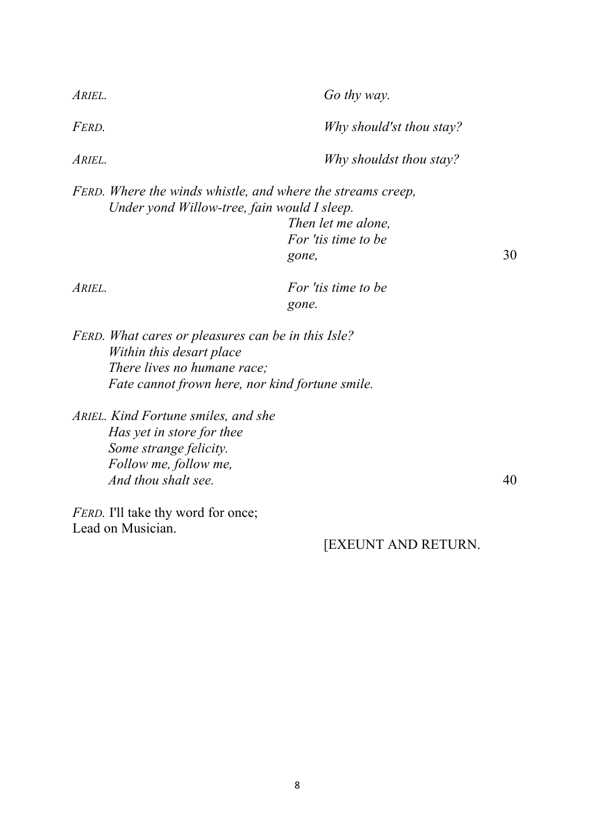| ARIEL. | Go thy way.                                                                                                                                                       |    |
|--------|-------------------------------------------------------------------------------------------------------------------------------------------------------------------|----|
| FERD.  | Why should'st thou stay?                                                                                                                                          |    |
| ARIEL. | Why shouldst thou stay?                                                                                                                                           |    |
|        | FERD. Where the winds whistle, and where the streams creep,<br>Under yond Willow-tree, fain would I sleep.<br>Then let me alone.<br>For 't ts time to be<br>gone, | 30 |
| ARIEL. | For 't ts time to be<br>gone.                                                                                                                                     |    |

*FERD. What cares or pleasures can be in this Isle? Within this desart place There lives no humane race; Fate cannot frown here, nor kind fortune smile.*

*ARIEL. Kind Fortune smiles, and she Has yet in store for thee Some strange felicity. Follow me, follow me, And thou shalt see.* 40

*FERD*. I'll take thy word for once; Lead on Musician.

[EXEUNT AND RETURN.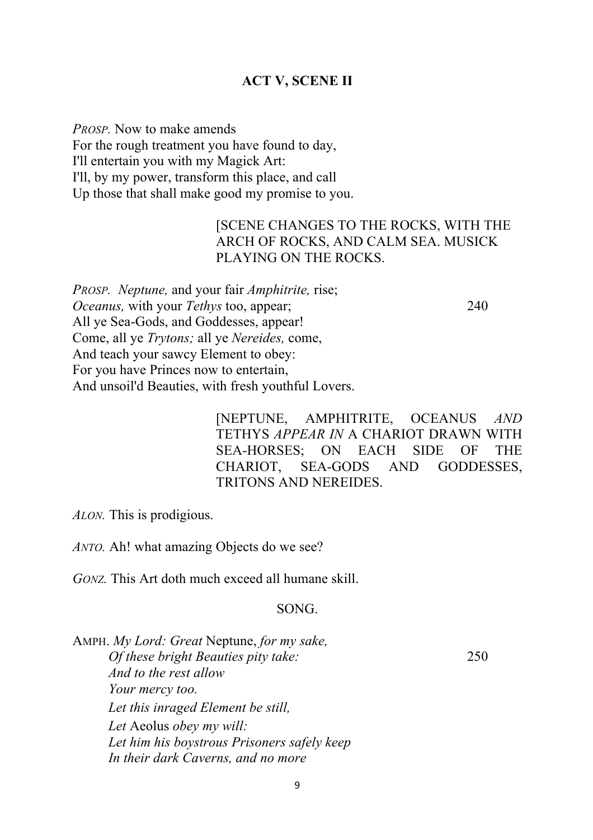### **ACT V, SCENE II**

*PROSP.* Now to make amends For the rough treatment you have found to day, I'll entertain you with my Magick Art: I'll, by my power, transform this place, and call Up those that shall make good my promise to you.

# [SCENE CHANGES TO THE ROCKS, WITH THE ARCH OF ROCKS, AND CALM SEA. MUSICK PLAYING ON THE ROCKS.

*PROSP. Neptune,* and your fair *Amphitrite,* rise; *Oceanus,* with your *Tethys* too, appear; 240 All ye Sea-Gods, and Goddesses, appear! Come, all ye *Trytons;* all ye *Nereides,* come, And teach your sawcy Element to obey: For you have Princes now to entertain, And unsoil'd Beauties, with fresh youthful Lovers.

> [NEPTUNE, AMPHITRITE, OCEANUS *AND*  TETHYS *APPEAR IN* A CHARIOT DRAWN WITH SEA-HORSES; ON EACH SIDE OF THE CHARIOT, SEA-GODS AND GODDESSES, TRITONS AND NEREIDES.

*ALON.* This is prodigious.

*ANTO.* Ah! what amazing Objects do we see?

*GONZ.* This Art doth much exceed all humane skill.

#### SONG.

AMPH. *My Lord: Great* Neptune, *for my sake, Of these bright Beauties pity take:* 250 *And to the rest allow Your mercy too. Let this inraged Element be still, Let* Aeolus *obey my will: Let him his boystrous Prisoners safely keep In their dark Caverns, and no more*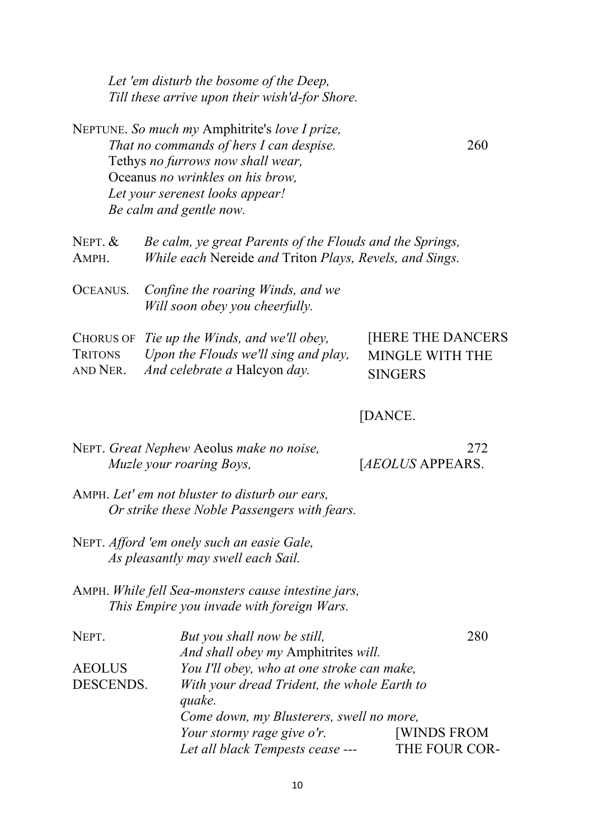*Let 'em disturb the bosome of the Deep, Till these arrive upon their wish'd-for Shore.*

NEPTUNE. *So much my* Amphitrite's *love I prize, That no commands of hers I can despise.* 260 Tethys *no furrows now shall wear,* Oceanus *no wrinkles on his brow, Let your serenest looks appear! Be calm and gentle now.*

NEPT. & *Be calm, ye great Parents of the Flouds and the Springs,* AMPH. *While each* Nereide *and* Triton *Plays, Revels, and Sings.*

OCEANUS*. Confine the roaring Winds, and we Will soon obey you cheerfully.*

|          | CHORUS OF Tie up the Winds, and we'll obey,  | <b>HERE THE DANCERS</b> |
|----------|----------------------------------------------|-------------------------|
|          | TRITONS Upon the Flouds we'll sing and play, | MINGLE WITH THE         |
| AND NER. | <i>And celebrate a Halcyon day.</i>          | <b>SINGERS</b>          |

[DANCE.

| NEPT. Great Nephew Aeolus make no noise,                                                                                                                                                                                                                                                                                                                          | 272                      |
|-------------------------------------------------------------------------------------------------------------------------------------------------------------------------------------------------------------------------------------------------------------------------------------------------------------------------------------------------------------------|--------------------------|
| Muzle your roaring Boys,                                                                                                                                                                                                                                                                                                                                          | [ <i>AEOLUS</i> APPEARS. |
| $\mathbf{A}$ $\mathbf{T}$ .<br>$\mathbf{1}$ $\mathbf{1}$ $\mathbf{1}$ $\mathbf{1}$ $\mathbf{1}$ $\mathbf{1}$ $\mathbf{1}$ $\mathbf{1}$ $\mathbf{1}$ $\mathbf{1}$ $\mathbf{1}$ $\mathbf{1}$ $\mathbf{1}$ $\mathbf{1}$ $\mathbf{1}$ $\mathbf{1}$ $\mathbf{1}$ $\mathbf{1}$ $\mathbf{1}$ $\mathbf{1}$ $\mathbf{1}$ $\mathbf{1}$ $\mathbf{1}$ $\mathbf{1}$ $\mathbf{$ |                          |

- AMPH. *Let' em not bluster to disturb our ears, Or strike these Noble Passengers with fears.*
- NEPT. *Afford 'em onely such an easie Gale, As pleasantly may swell each Sail.*
- AMPH. *While fell Sea-monsters cause intestine jars, This Empire you invade with foreign Wars.*

| NEPT.         | But you shall now be still,                 | 280                |
|---------------|---------------------------------------------|--------------------|
|               | And shall obey my Amphitrites will.         |                    |
| <b>AEOLUS</b> | You I'll obey, who at one stroke can make,  |                    |
| DESCENDS.     | With your dread Trident, the whole Earth to |                    |
|               | quake.                                      |                    |
|               | Come down, my Blusterers, swell no more,    |                    |
|               | Your stormy rage give o'r.                  | <b>[WINDS FROM</b> |
|               | Let all black Tempests cease ---            | THE FOUR COR-      |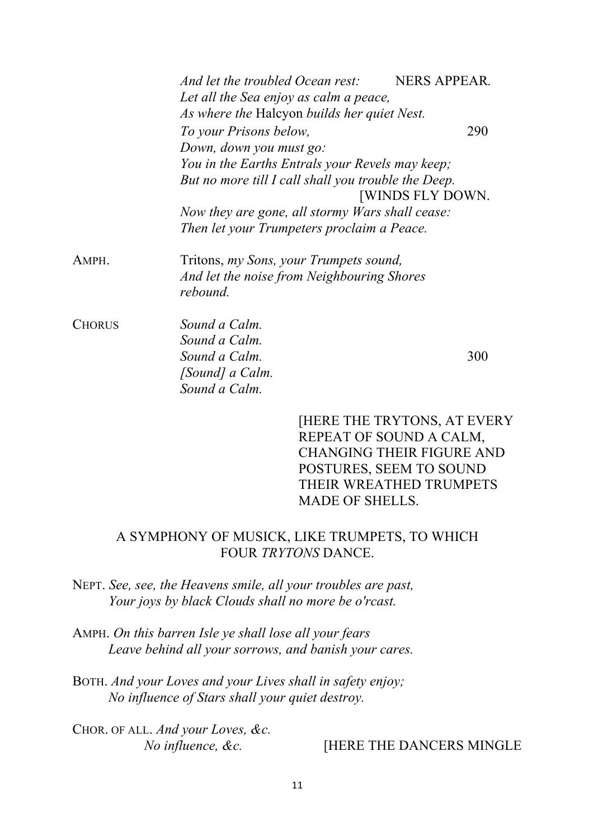|               | And let the troubled Ocean rest:                                                                         | <b>NERS APPEAR.</b>       |
|---------------|----------------------------------------------------------------------------------------------------------|---------------------------|
|               | Let all the Sea enjoy as calm a peace,<br>As where the Halcyon builds her quiet Nest.                    |                           |
|               | To your Prisons below,                                                                                   | 290                       |
|               | Down, down you must go:                                                                                  |                           |
|               | You in the Earths Entrals your Revels may keep;                                                          |                           |
|               | But no more till I call shall you trouble the Deep.                                                      |                           |
|               |                                                                                                          | <b>[WINDS FLY DOWN.</b>   |
|               | Now they are gone, all stormy Wars shall cease:                                                          |                           |
|               | Then let your Trumpeters proclaim a Peace.                                                               |                           |
| AMPH.         | Tritons, <i>my Sons, your Trumpets sound</i> ,<br>And let the noise from Neighbouring Shores<br>rebound. |                           |
| <b>CHORUS</b> | Sound a Calm.                                                                                            |                           |
|               | Sound a Calm.                                                                                            |                           |
|               | Sound a Calm.                                                                                            | 300                       |
|               | [Sound] a Calm.                                                                                          |                           |
|               | Sound a Calm.                                                                                            |                           |
|               |                                                                                                          | LHERE THE TRYTONS AT EVEL |

[HERE THE TRYTONS, AT EVERY REPEAT OF SOUND A CALM, CHANGING THEIR FIGURE AND POSTURES, SEEM TO SOUND THEIR WREATHED TRUMPETS MADE OF SHELLS.

# A SYMPHONY OF MUSICK, LIKE TRUMPETS, TO WHICH FOUR *TRYTONS* DANCE.

- NEPT. *See, see, the Heavens smile, all your troubles are past, Your joys by black Clouds shall no more be o'rcast.*
- AMPH. *On this barren Isle ye shall lose all your fears Leave behind all your sorrows, and banish your cares.*
- BOTH. *And your Loves and your Lives shall in safety enjoy; No influence of Stars shall your quiet destroy.*

CHOR. OF ALL. *And your Loves, &c.*

# *No influence, &c.* [HERE THE DANCERS MINGLE